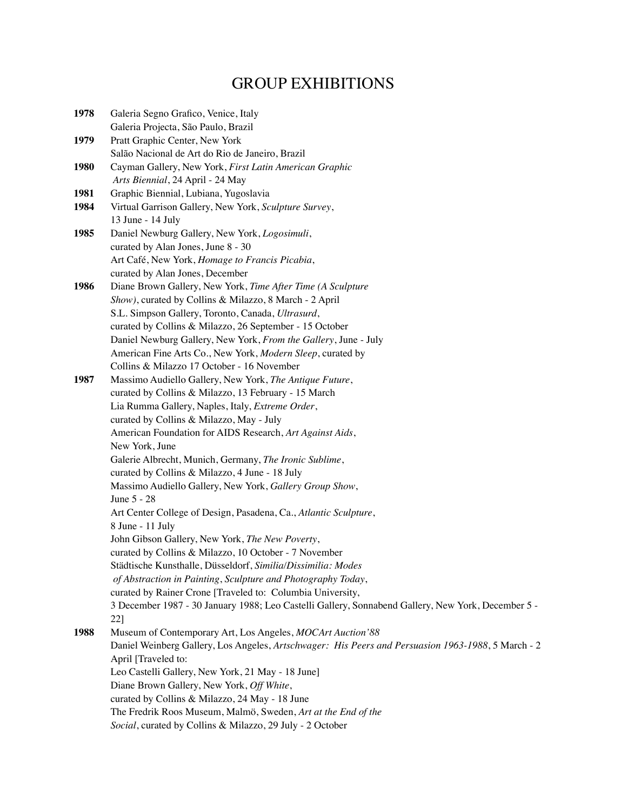## GROUP EXHIBITIONS

| 1978 | Galeria Segno Grafico, Venice, Italy                                                                     |
|------|----------------------------------------------------------------------------------------------------------|
|      | Galeria Projecta, São Paulo, Brazil                                                                      |
| 1979 | Pratt Graphic Center, New York                                                                           |
|      | Salão Nacional de Art do Rio de Janeiro, Brazil                                                          |
| 1980 | Cayman Gallery, New York, First Latin American Graphic                                                   |
|      | Arts Biennial, 24 April - 24 May                                                                         |
| 1981 | Graphic Biennial, Lubiana, Yugoslavia                                                                    |
| 1984 | Virtual Garrison Gallery, New York, Sculpture Survey,                                                    |
|      | 13 June - 14 July                                                                                        |
| 1985 | Daniel Newburg Gallery, New York, Logosimuli,                                                            |
|      | curated by Alan Jones, June 8 - 30                                                                       |
|      | Art Café, New York, Homage to Francis Picabia,                                                           |
|      | curated by Alan Jones, December                                                                          |
| 1986 | Diane Brown Gallery, New York, Time After Time (A Sculpture                                              |
|      | Show), curated by Collins & Milazzo, 8 March - 2 April                                                   |
|      | S.L. Simpson Gallery, Toronto, Canada, Ultrasurd,                                                        |
|      | curated by Collins & Milazzo, 26 September - 15 October                                                  |
|      | Daniel Newburg Gallery, New York, From the Gallery, June - July                                          |
|      | American Fine Arts Co., New York, Modern Sleep, curated by                                               |
|      | Collins & Milazzo 17 October - 16 November                                                               |
| 1987 | Massimo Audiello Gallery, New York, The Antique Future,                                                  |
|      | curated by Collins & Milazzo, 13 February - 15 March                                                     |
|      | Lia Rumma Gallery, Naples, Italy, Extreme Order,                                                         |
|      | curated by Collins & Milazzo, May - July                                                                 |
|      | American Foundation for AIDS Research, Art Against Aids,                                                 |
|      | New York, June                                                                                           |
|      |                                                                                                          |
|      | Galerie Albrecht, Munich, Germany, The Ironic Sublime,                                                   |
|      | curated by Collins & Milazzo, 4 June - 18 July                                                           |
|      | Massimo Audiello Gallery, New York, Gallery Group Show,<br>June 5 - 28                                   |
|      |                                                                                                          |
|      | Art Center College of Design, Pasadena, Ca., Atlantic Sculpture,                                         |
|      | 8 June - 11 July                                                                                         |
|      | John Gibson Gallery, New York, The New Poverty,<br>curated by Collins & Milazzo, 10 October - 7 November |
|      |                                                                                                          |
|      | Städtische Kunsthalle, Düsseldorf, Similia/Dissimilia: Modes                                             |
|      | of Abstraction in Painting, Sculpture and Photography Today,                                             |
|      | curated by Rainer Crone [Traveled to: Columbia University,                                               |
|      | 3 December 1987 - 30 January 1988; Leo Castelli Gallery, Sonnabend Gallery, New York, December 5 -       |
|      | 22]                                                                                                      |
| 1988 | Museum of Contemporary Art, Los Angeles, MOCArt Auction'88                                               |
|      | Daniel Weinberg Gallery, Los Angeles, Artschwager: His Peers and Persuasion 1963-1988, 5 March - 2       |
|      | April [Traveled to:                                                                                      |
|      | Leo Castelli Gallery, New York, 21 May - 18 June]                                                        |
|      | Diane Brown Gallery, New York, Off White,                                                                |
|      | curated by Collins & Milazzo, 24 May - 18 June                                                           |
|      | The Fredrik Roos Museum, Malmö, Sweden, Art at the End of the                                            |
|      | Social, curated by Collins & Milazzo, 29 July - 2 October                                                |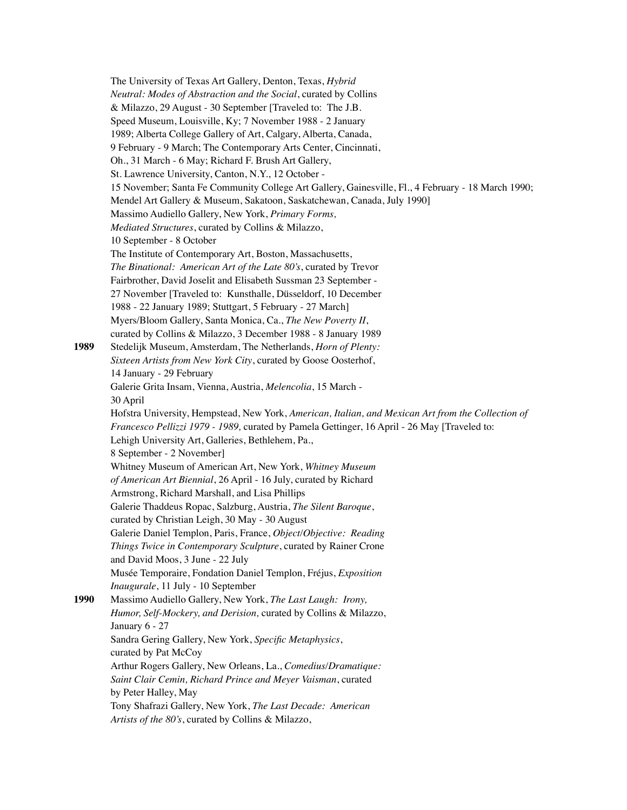|      | The University of Texas Art Gallery, Denton, Texas, Hybrid                                         |
|------|----------------------------------------------------------------------------------------------------|
|      | Neutral: Modes of Abstraction and the Social, curated by Collins                                   |
|      | & Milazzo, 29 August - 30 September [Traveled to: The J.B.                                         |
|      | Speed Museum, Louisville, Ky; 7 November 1988 - 2 January                                          |
|      | 1989; Alberta College Gallery of Art, Calgary, Alberta, Canada,                                    |
|      | 9 February - 9 March; The Contemporary Arts Center, Cincinnati,                                    |
|      | Oh., 31 March - 6 May; Richard F. Brush Art Gallery,                                               |
|      | St. Lawrence University, Canton, N.Y., 12 October -                                                |
|      | 15 November; Santa Fe Community College Art Gallery, Gainesville, Fl., 4 February - 18 March 1990; |
|      | Mendel Art Gallery & Museum, Sakatoon, Saskatchewan, Canada, July 1990]                            |
|      | Massimo Audiello Gallery, New York, Primary Forms,                                                 |
|      | Mediated Structures, curated by Collins & Milazzo,                                                 |
|      | 10 September - 8 October                                                                           |
|      | The Institute of Contemporary Art, Boston, Massachusetts,                                          |
|      | The Binational: American Art of the Late 80's, curated by Trevor                                   |
|      | Fairbrother, David Joselit and Elisabeth Sussman 23 September -                                    |
|      | 27 November [Traveled to: Kunsthalle, Düsseldorf, 10 December                                      |
|      | 1988 - 22 January 1989; Stuttgart, 5 February - 27 March]                                          |
|      | Myers/Bloom Gallery, Santa Monica, Ca., The New Poverty II,                                        |
|      | curated by Collins & Milazzo, 3 December 1988 - 8 January 1989                                     |
| 1989 | Stedelijk Museum, Amsterdam, The Netherlands, Horn of Plenty:                                      |
|      | Sixteen Artists from New York City, curated by Goose Oosterhof,                                    |
|      | 14 January - 29 February                                                                           |
|      | Galerie Grita Insam, Vienna, Austria, Melencolia, 15 March -                                       |
|      | 30 April                                                                                           |
|      | Hofstra University, Hempstead, New York, American, Italian, and Mexican Art from the Collection of |
|      | Francesco Pellizzi 1979 - 1989, curated by Pamela Gettinger, 16 April - 26 May [Traveled to:       |
|      | Lehigh University Art, Galleries, Bethlehem, Pa.,                                                  |
|      | 8 September - 2 November]                                                                          |
|      | Whitney Museum of American Art, New York, Whitney Museum                                           |
|      | of American Art Biennial, 26 April - 16 July, curated by Richard                                   |
|      | Armstrong, Richard Marshall, and Lisa Phillips                                                     |
|      | Galerie Thaddeus Ropac, Salzburg, Austria, The Silent Baroque,                                     |
|      | curated by Christian Leigh, 30 May - 30 August                                                     |
|      | Galerie Daniel Templon, Paris, France, Object/Objective: Reading                                   |
|      | Things Twice in Contemporary Sculpture, curated by Rainer Crone                                    |
|      | and David Moos, 3 June - 22 July                                                                   |
|      | Musée Temporaire, Fondation Daniel Templon, Fréjus, Exposition                                     |
|      | Inaugurale, 11 July - 10 September                                                                 |
| 1990 | Massimo Audiello Gallery, New York, The Last Laugh: Irony,                                         |
|      | Humor, Self-Mockery, and Derision, curated by Collins & Milazzo,                                   |
|      | January 6 - 27                                                                                     |
|      | Sandra Gering Gallery, New York, Specific Metaphysics,                                             |
|      | curated by Pat McCoy                                                                               |
|      | Arthur Rogers Gallery, New Orleans, La., Comedius/Dramatique:                                      |
|      | Saint Clair Cemin, Richard Prince and Meyer Vaisman, curated                                       |
|      | by Peter Halley, May                                                                               |
|      | Tony Shafrazi Gallery, New York, The Last Decade: American                                         |
|      | Artists of the 80's, curated by Collins & Milazzo,                                                 |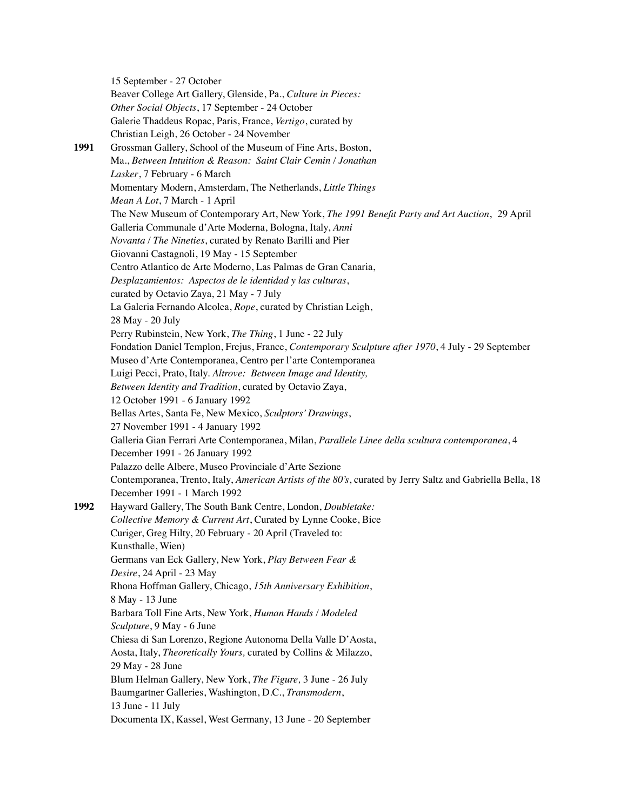15 September - 27 October Beaver College Art Gallery, Glenside, Pa., *Culture in Pieces: Other Social Objects*, 17 September - 24 October Galerie Thaddeus Ropac, Paris, France, *Vertigo*, curated by Christian Leigh, 26 October - 24 November **1991** Grossman Gallery, School of the Museum of Fine Arts, Boston, Ma., *Between Intuition & Reason: Saint Clair Cemin / Jonathan Lasker*, 7 February - 6 March Momentary Modern, Amsterdam, The Netherlands, *Little Things Mean A Lot*, 7 March - 1 April The New Museum of Contemporary Art, New York, *The 1991 Benefit Party and Art Auction*, 29 April Galleria Communale d'Arte Moderna, Bologna, Italy, *Anni Novanta / The Nineties*, curated by Renato Barilli and Pier Giovanni Castagnoli, 19 May - 15 September Centro Atlantico de Arte Moderno, Las Palmas de Gran Canaria, *Desplazamientos: Aspectos de le identidad y las culturas*, curated by Octavio Zaya, 21 May - 7 July La Galeria Fernando Alcolea, *Rope*, curated by Christian Leigh, 28 May - 20 July Perry Rubinstein, New York, *The Thing*, 1 June - 22 July Fondation Daniel Templon, Frejus, France, *Contemporary Sculpture after 1970*, 4 July - 29 September Museo d'Arte Contemporanea, Centro per l'arte Contemporanea Luigi Pecci, Prato, Italy. *Altrove: Between Image and Identity, Between Identity and Tradition*, curated by Octavio Zaya, 12 October 1991 - 6 January 1992 Bellas Artes, Santa Fe, New Mexico, *Sculptors' Drawings*, 27 November 1991 - 4 January 1992 Galleria Gian Ferrari Arte Contemporanea, Milan, *Parallele Linee della scultura contemporanea*, 4 December 1991 - 26 January 1992 Palazzo delle Albere, Museo Provinciale d'Arte Sezione Contemporanea, Trento, Italy, *American Artists of the 80's*, curated by Jerry Saltz and Gabriella Bella, 18 December 1991 - 1 March 1992 **1992** Hayward Gallery, The South Bank Centre, London, *Doubletake: Collective Memory & Current Art*, Curated by Lynne Cooke, Bice Curiger, Greg Hilty, 20 February - 20 April (Traveled to: Kunsthalle, Wien) Germans van Eck Gallery, New York, *Play Between Fear & Desire*, 24 April - 23 May Rhona Hoffman Gallery, Chicago, *15th Anniversary Exhibition*, 8 May - 13 June Barbara Toll Fine Arts, New York, *Human Hands / Modeled Sculpture*, 9 May - 6 June Chiesa di San Lorenzo, Regione Autonoma Della Valle D'Aosta, Aosta, Italy, *Theoretically Yours,* curated by Collins & Milazzo, 29 May - 28 June Blum Helman Gallery, New York, *The Figure,* 3 June - 26 July Baumgartner Galleries, Washington, D.C., *Transmodern*, 13 June - 11 July Documenta IX, Kassel, West Germany, 13 June - 20 September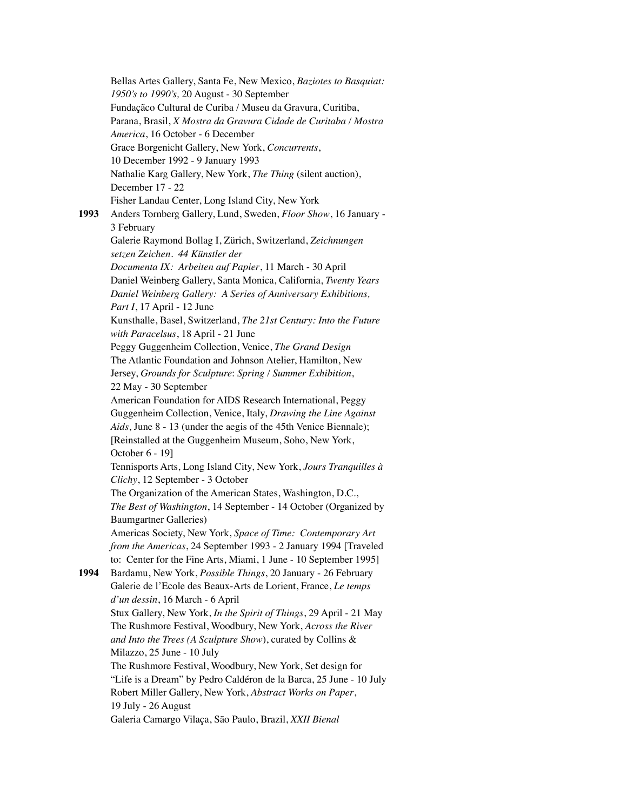Bellas Artes Gallery, Santa Fe, New Mexico, *Baziotes to Basquiat: 1950's to 1990's,* 20 August - 30 September Fundaçãco Cultural de Curiba / Museu da Gravura, Curitiba, Parana, Brasil, *X Mostra da Gravura Cidade de Curitaba / Mostra America*, 16 October - 6 December Grace Borgenicht Gallery, New York, *Concurrents*, 10 December 1992 - 9 January 1993 Nathalie Karg Gallery, New York, *The Thing* (silent auction), December 17 - 22 Fisher Landau Center, Long Island City, New York **1993** Anders Tornberg Gallery, Lund, Sweden, *Floor Show*, 16 January - 3 February Galerie Raymond Bollag I, Zürich, Switzerland, *Zeichnungen setzen Zeichen. 44 Künstler der Documenta IX: Arbeiten auf Papier*, 11 March - 30 April Daniel Weinberg Gallery, Santa Monica, California, *Twenty Years Daniel Weinberg Gallery: A Series of Anniversary Exhibitions, Part I*, 17 April - 12 June Kunsthalle, Basel, Switzerland, *The 21st Century: Into the Future with Paracelsus*, 18 April - 21 June Peggy Guggenheim Collection, Venice, *The Grand Design* The Atlantic Foundation and Johnson Atelier, Hamilton, New Jersey, *Grounds for Sculpture*: *Spring / Summer Exhibition*, 22 May - 30 September American Foundation for AIDS Research International, Peggy Guggenheim Collection, Venice, Italy, *Drawing the Line Against Aids*, June 8 - 13 (under the aegis of the 45th Venice Biennale); [Reinstalled at the Guggenheim Museum, Soho, New York, October 6 - 19] Tennisports Arts, Long Island City, New York, *Jours Tranquilles à Clichy*, 12 September - 3 October The Organization of the American States, Washington, D.C., *The Best of Washington*, 14 September - 14 October (Organized by Baumgartner Galleries) Americas Society, New York, *Space of Time: Contemporary Art from the Americas*, 24 September 1993 - 2 January 1994 [Traveled to: Center for the Fine Arts, Miami, 1 June - 10 September 1995] **1994** Bardamu, New York, *Possible Things*, 20 January - 26 February Galerie de l'Ecole des Beaux-Arts de Lorient, France, *Le temps d'un dessin*, 16 March - 6 April Stux Gallery, New York, *In the Spirit of Things*, 29 April - 21 May The Rushmore Festival, Woodbury, New York, *Across the River and Into the Trees (A Sculpture Show*), curated by Collins & Milazzo, 25 June - 10 July The Rushmore Festival, Woodbury, New York, Set design for "Life is a Dream" by Pedro Caldéron de la Barca, 25 June - 10 July Robert Miller Gallery, New York, *Abstract Works on Paper*, 19 July - 26 August Galeria Camargo Vilaça, São Paulo, Brazil, *XXII Bienal*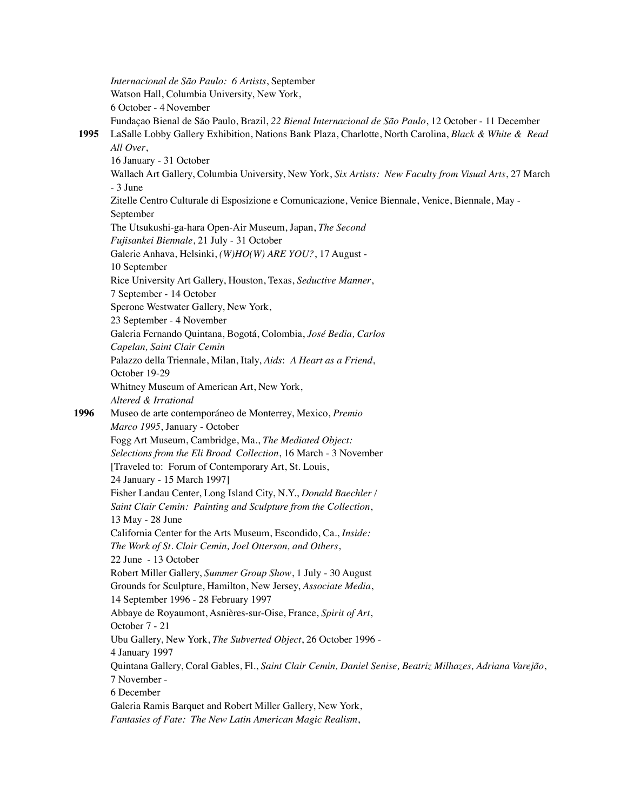*Internacional de São Paulo: 6 Artists*, September Watson Hall, Columbia University, New York, 6 October - 4 November Fundaçao Bienal de São Paulo, Brazil, *22 Bienal Internacional de São Paulo*, 12 October - 11 December **1995** LaSalle Lobby Gallery Exhibition, Nations Bank Plaza, Charlotte, North Carolina, *Black & White & Read All Over*, 16 January - 31 October Wallach Art Gallery, Columbia University, New York, *Six Artists: New Faculty from Visual Arts*, 27 March - 3 June Zitelle Centro Culturale di Esposizione e Comunicazione, Venice Biennale, Venice, Biennale, May - September The Utsukushi-ga-hara Open-Air Museum, Japan, *The Second Fujisankei Biennale*, 21 July - 31 October Galerie Anhava, Helsinki, *(W)HO(W) ARE YOU?*, 17 August - 10 September Rice University Art Gallery, Houston, Texas, *Seductive Manner*, 7 September - 14 October Sperone Westwater Gallery, New York, 23 September - 4 November Galeria Fernando Quintana, Bogotá, Colombia, *José Bedia, Carlos Capelan, Saint Clair Cemin* Palazzo della Triennale, Milan, Italy, *Aids*: *A Heart as a Friend*, October 19-29 Whitney Museum of American Art, New York, *Altered & Irrational* **1996** Museo de arte contemporáneo de Monterrey, Mexico, *Premio Marco 1995*, January - October Fogg Art Museum, Cambridge, Ma., *The Mediated Object: Selections from the Eli Broad Collection*, 16 March - 3 November [Traveled to: Forum of Contemporary Art, St. Louis, 24 January - 15 March 1997] Fisher Landau Center, Long Island City, N.Y., *Donald Baechler / Saint Clair Cemin: Painting and Sculpture from the Collection*, 13 May - 28 June California Center for the Arts Museum, Escondido, Ca., *Inside: The Work of St. Clair Cemin, Joel Otterson, and Others*, 22 June - 13 October Robert Miller Gallery, *Summer Group Show*, 1 July - 30 August Grounds for Sculpture, Hamilton, New Jersey, *Associate Media*, 14 September 1996 - 28 February 1997 Abbaye de Royaumont, Asnières-sur-Oise, France, *Spirit of Art*, October 7 - 21 Ubu Gallery, New York, *The Subverted Object*, 26 October 1996 - 4 January 1997 Quintana Gallery, Coral Gables, Fl., *Saint Clair Cemin, Daniel Senise, Beatriz Milhazes, Adriana Varejão*, 7 November - 6 December Galeria Ramis Barquet and Robert Miller Gallery, New York, *Fantasies of Fate: The New Latin American Magic Realism*,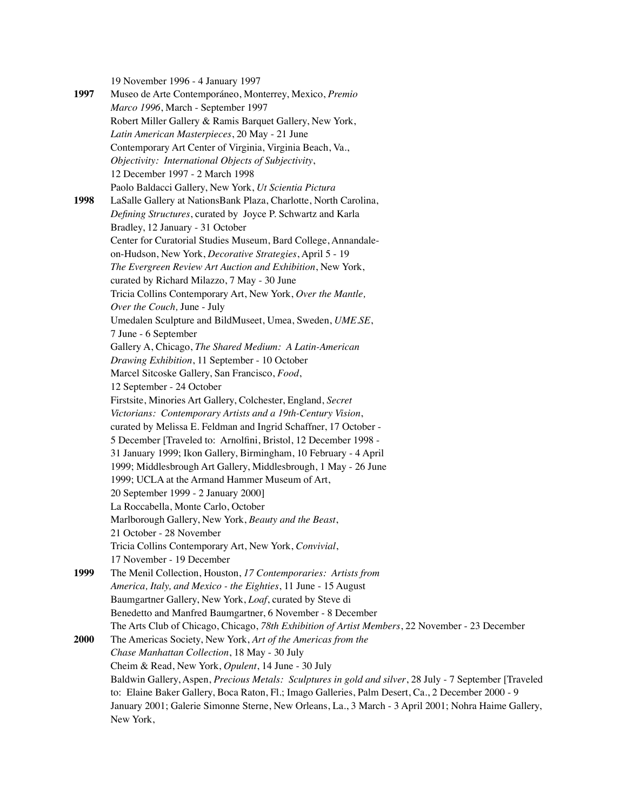19 November 1996 - 4 January 1997

**1997** Museo de Arte Contemporáneo, Monterrey, Mexico, *Premio Marco 1996*, March - September 1997 Robert Miller Gallery & Ramis Barquet Gallery, New York, *Latin American Masterpieces*, 20 May - 21 June Contemporary Art Center of Virginia, Virginia Beach, Va., *Objectivity: International Objects of Subjectivity*, 12 December 1997 - 2 March 1998 Paolo Baldacci Gallery, New York, *Ut Scientia Pictura* **1998** LaSalle Gallery at NationsBank Plaza, Charlotte, North Carolina, *Defining Structures*, curated by Joyce P. Schwartz and Karla Bradley, 12 January - 31 October Center for Curatorial Studies Museum, Bard College, Annandaleon-Hudson, New York, *Decorative Strategies*, April 5 - 19 *The Evergreen Review Art Auction and Exhibition*, New York, curated by Richard Milazzo, 7 May - 30 June Tricia Collins Contemporary Art, New York, *Over the Mantle, Over the Couch,* June - July Umedalen Sculpture and BildMuseet, Umea, Sweden, *UME.SE*, 7 June - 6 September Gallery A, Chicago, *The Shared Medium: A Latin-American Drawing Exhibition*, 11 September - 10 October Marcel Sitcoske Gallery, San Francisco, *Food*, 12 September - 24 October Firstsite, Minories Art Gallery, Colchester, England, *Secret Victorians: Contemporary Artists and a 19th-Century Vision*, curated by Melissa E. Feldman and Ingrid Schaffner, 17 October - 5 December [Traveled to: Arnolfini, Bristol, 12 December 1998 - 31 January 1999; Ikon Gallery, Birmingham, 10 February - 4 April 1999; Middlesbrough Art Gallery, Middlesbrough, 1 May - 26 June 1999; UCLA at the Armand Hammer Museum of Art, 20 September 1999 - 2 January 2000] La Roccabella, Monte Carlo, October Marlborough Gallery, New York, *Beauty and the Beast*, 21 October - 28 November Tricia Collins Contemporary Art, New York, *Convivial*, 17 November - 19 December **1999** The Menil Collection, Houston, *17 Contemporaries: Artists from America, Italy, and Mexico - the Eighties*, 11 June - 15 August Baumgartner Gallery, New York, *Loaf*, curated by Steve di Benedetto and Manfred Baumgartner, 6 November - 8 December The Arts Club of Chicago, Chicago, *78th Exhibition of Artist Members*, 22 November - 23 December **2000** The Americas Society, New York, *Art of the Americas from the Chase Manhattan Collection*, 18 May - 30 July Cheim & Read, New York, *Opulent*, 14 June - 30 July Baldwin Gallery, Aspen, *Precious Metals: Sculptures in gold and silver*, 28 July - 7 September [Traveled to: Elaine Baker Gallery, Boca Raton, Fl.; Imago Galleries, Palm Desert, Ca., 2 December 2000 - 9 January 2001; Galerie Simonne Sterne, New Orleans, La., 3 March - 3 April 2001; Nohra Haime Gallery, New York,